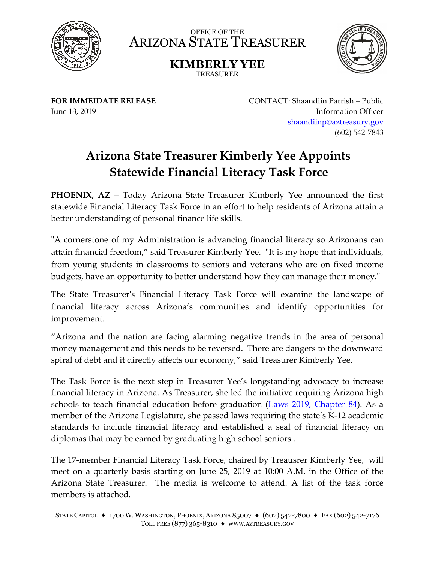

OFFICE OF THE ARIZONA STATE TREASURER

> **KIMBERLY YEE** TREASURER



**FOR IMMEIDATE RELEASE** June 13, 2019

CONTACT: Shaandiin Parrish – Public Information Officer shaandiinp@aztreasury.gov (602) 542-7843

## **Arizona State Treasurer Kimberly Yee Appoints Statewide Financial Literacy Task Force**

**PHOENIX, AZ** – Today Arizona State Treasurer Kimberly Yee announced the first statewide Financial Literacy Task Force in an effort to help residents of Arizona attain a better understanding of personal finance life skills.

"A cornerstone of my Administration is advancing financial literacy so Arizonans can attain financial freedom," said Treasurer Kimberly Yee. "It is my hope that individuals, from young students in classrooms to seniors and veterans who are on fixed income budgets, have an opportunity to better understand how they can manage their money."

The State Treasurer's Financial Literacy Task Force will examine the landscape of financial literacy across Arizona's communities and identify opportunities for improvement.

"Arizona and the nation are facing alarming negative trends in the area of personal money management and this needs to be reversed. There are dangers to the downward spiral of debt and it directly affects our economy," said Treasurer Kimberly Yee.

The Task Force is the next step in Treasurer Yee's longstanding advocacy to increase financial literacy in Arizona. As Treasurer, she led the initiative requiring Arizona high schools to teach financial education before graduation (Laws 2019, Chapter 84). As a member of the Arizona Legislature, she passed laws requiring the state's K-12 academic standards to include financial literacy and established a seal of financial literacy on diplomas that may be earned by graduating high school seniors .

The 17-member Financial Literacy Task Force, chaired by Treausrer Kimberly Yee, will meet on a quarterly basis starting on June 25, 2019 at 10:00 A.M. in the Office of the Arizona State Treasurer. The media is welcome to attend. A list of the task force members is attached.